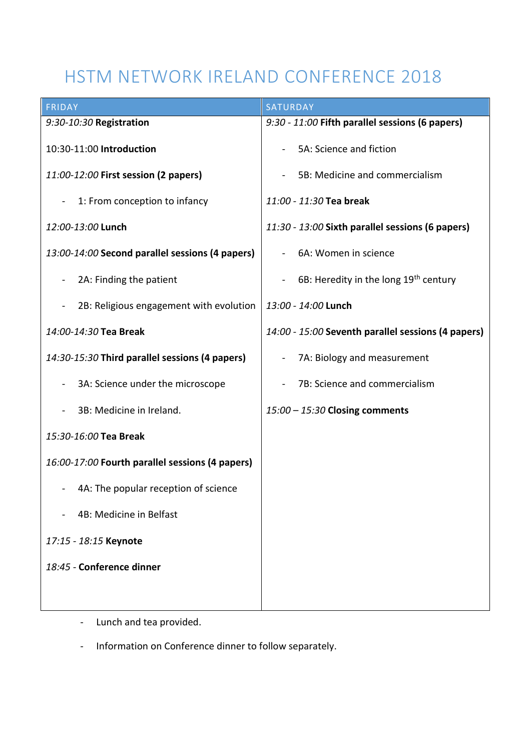# HSTM NETWORK IRELAND CONFERENCE 2018

| <b>FRIDAY</b>                                             | <b>SATURDAY</b>                                                     |
|-----------------------------------------------------------|---------------------------------------------------------------------|
| 9:30-10:30 Registration                                   | 9:30 - 11:00 Fifth parallel sessions (6 papers)                     |
| 10:30-11:00 Introduction                                  | 5A: Science and fiction                                             |
| 11:00-12:00 First session (2 papers)                      | 5B: Medicine and commercialism                                      |
| 1: From conception to infancy                             | 11:00 - 11:30 Tea break                                             |
| 12:00-13:00 Lunch                                         | 11:30 - 13:00 Sixth parallel sessions (6 papers)                    |
| 13:00-14:00 Second parallel sessions (4 papers)           | 6A: Women in science                                                |
| 2A: Finding the patient<br>$\blacksquare$                 | 6B: Heredity in the long 19 <sup>th</sup> century<br>$\blacksquare$ |
| 2B: Religious engagement with evolution<br>$\blacksquare$ | 13:00 - 14:00 Lunch                                                 |
| 14:00-14:30 Tea Break                                     | 14:00 - 15:00 Seventh parallel sessions (4 papers)                  |
| 14:30-15:30 Third parallel sessions (4 papers)            | 7A: Biology and measurement<br>۰                                    |
| 3A: Science under the microscope                          | 7B: Science and commercialism                                       |
| 3B: Medicine in Ireland.                                  | 15:00 - 15:30 Closing comments                                      |
| 15:30-16:00 Tea Break                                     |                                                                     |
| 16:00-17:00 Fourth parallel sessions (4 papers)           |                                                                     |
| 4A: The popular reception of science                      |                                                                     |
| 4B: Medicine in Belfast                                   |                                                                     |
| 17:15 - 18:15 Keynote                                     |                                                                     |
| 18:45 - Conference dinner                                 |                                                                     |
|                                                           |                                                                     |

- Lunch and tea provided.
- Information on Conference dinner to follow separately.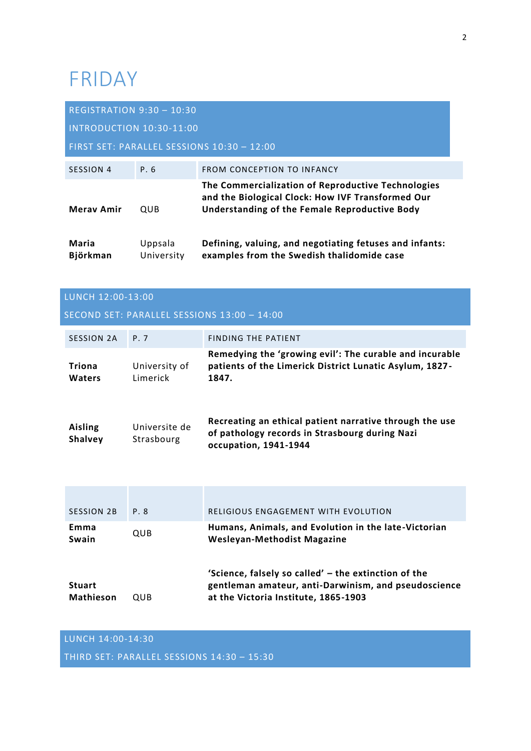# FRIDAY

| <b>REGISTRATION 9:30 - 10:30</b> |                       |                                                                                                                                                          |
|----------------------------------|-----------------------|----------------------------------------------------------------------------------------------------------------------------------------------------------|
| INTRODUCTION 10:30-11:00         |                       |                                                                                                                                                          |
|                                  |                       | FIRST SET: PARALLEL SESSIONS 10:30 - 12:00                                                                                                               |
| SESSION 4                        | P. 6                  | <b>FROM CONCEPTION TO INFANCY</b>                                                                                                                        |
| <b>Meray Amir</b>                | <b>OUB</b>            | The Commercialization of Reproductive Technologies<br>and the Biological Clock: How IVF Transformed Our<br>Understanding of the Female Reproductive Body |
| Maria<br>Björkman                | Uppsala<br>University | Defining, valuing, and negotiating fetuses and infants:<br>examples from the Swedish thalidomide case                                                    |

| LUNCH 12:00-13:00                 |                             |                                                                                                                                                      |
|-----------------------------------|-----------------------------|------------------------------------------------------------------------------------------------------------------------------------------------------|
|                                   |                             | SECOND SET: PARALLEL SESSIONS 13:00 - 14:00                                                                                                          |
| <b>SESSION 2A</b>                 | P. 7                        | <b>FINDING THE PATIENT</b>                                                                                                                           |
| Triona<br>Waters                  | University of<br>Limerick   | Remedying the 'growing evil': The curable and incurable<br>patients of the Limerick District Lunatic Asylum, 1827-<br>1847.                          |
| <b>Aisling</b><br><b>Shalvey</b>  | Universite de<br>Strasbourg | Recreating an ethical patient narrative through the use<br>of pathology records in Strasbourg during Nazi<br>occupation, 1941-1944                   |
|                                   |                             |                                                                                                                                                      |
| <b>SESSION 2B</b>                 | P.8                         | <b>RELIGIOUS ENGAGEMENT WITH EVOLUTION</b>                                                                                                           |
| Emma<br>Swain                     | QUB                         | Humans, Animals, and Evolution in the late-Victorian<br><b>Wesleyan-Methodist Magazine</b>                                                           |
| <b>Stuart</b><br><b>Mathieson</b> | QUB                         | 'Science, falsely so called' - the extinction of the<br>gentleman amateur, anti-Darwinism, and pseudoscience<br>at the Victoria Institute, 1865-1903 |

## LUNCH 14:00-14:30

THIRD SET: PARALLEL SESSIONS 14:30 – 15:30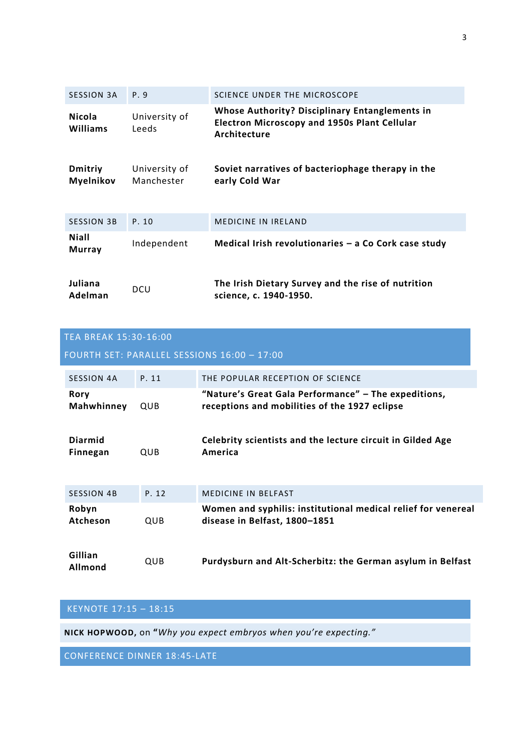| <b>SESSION 3A</b>             | P. 9                        | SCIENCE UNDER THE MICROSCOPE                                                                                                 |
|-------------------------------|-----------------------------|------------------------------------------------------------------------------------------------------------------------------|
| <b>Nicola</b><br>Williams     | University of<br>Leeds      | <b>Whose Authority? Disciplinary Entanglements in</b><br><b>Electron Microscopy and 1950s Plant Cellular</b><br>Architecture |
| <b>Dmitriy</b><br>Myelnikov   | University of<br>Manchester | Soviet narratives of bacteriophage therapy in the<br>early Cold War                                                          |
| <b>SESSION 3B</b>             | P. 10                       | <b>MEDICINE IN IRELAND</b>                                                                                                   |
| <b>Niall</b><br><b>Murray</b> | Independent                 | Medical Irish revolutionaries - a Co Cork case study                                                                         |
| Juliana<br>Adelman            | <b>DCU</b>                  | The Irish Dietary Survey and the rise of nutrition<br>science, c. 1940-1950.                                                 |

| <b>TEA BREAK 15:30-16:00</b> |       |                                                                                                       |
|------------------------------|-------|-------------------------------------------------------------------------------------------------------|
|                              |       | FOURTH SET: PARALLEL SESSIONS 16:00 - 17:00                                                           |
| <b>SESSION 4A</b>            | P. 11 | THE POPULAR RECEPTION OF SCIENCE                                                                      |
| <b>Rory</b><br>Mahwhinney    | QUB   | "Nature's Great Gala Performance" - The expeditions,<br>receptions and mobilities of the 1927 eclipse |
| <b>Diarmid</b><br>Finnegan   | QUB   | Celebrity scientists and the lecture circuit in Gilded Age<br>America                                 |
| <b>SESSION 4B</b>            | P. 12 | <b>MEDICINE IN BELFAST</b>                                                                            |
| Robyn<br>Atcheson            | QUB   | Women and syphilis: institutional medical relief for venereal<br>disease in Belfast, 1800-1851        |
| Gillian<br>Allmond           | QUB   | Purdysburn and Alt-Scherbitz: the German asylum in Belfast                                            |

## KEYNOTE 17:15 – 18:15

**NICK HOPWOOD,** on **"***Why you expect embryos when you're expecting."*

CONFERENCE DINNER 18:45-LATE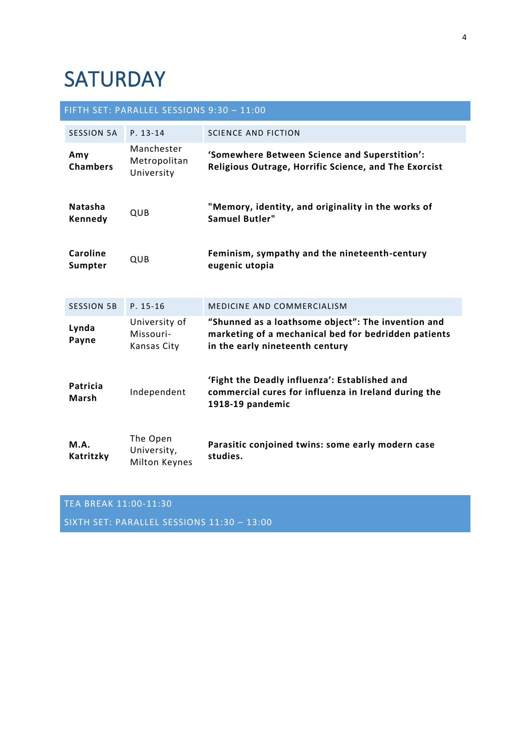# **SATURDAY**

|                            | FIFTH SET: PARALLEL SESSIONS 9:30 - 11:00       |                                                                                                                                               |
|----------------------------|-------------------------------------------------|-----------------------------------------------------------------------------------------------------------------------------------------------|
| <b>SESSION 5A</b>          | $P. 13-14$                                      | <b>SCIENCE AND FICTION</b>                                                                                                                    |
| Amy<br><b>Chambers</b>     | Manchester<br>Metropolitan<br>University        | 'Somewhere Between Science and Superstition':<br>Religious Outrage, Horrific Science, and The Exorcist                                        |
| <b>Natasha</b><br>Kennedy  | QUB                                             | "Memory, identity, and originality in the works of<br><b>Samuel Butler"</b>                                                                   |
| <b>Caroline</b><br>Sumpter | QUB                                             | Feminism, sympathy and the nineteenth-century<br>eugenic utopia                                                                               |
| <b>SESSION 5B</b>          | $P. 15-16$                                      | MEDICINE AND COMMERCIALISM                                                                                                                    |
| Lynda<br>Payne             | University of<br>Missouri-<br>Kansas City       | "Shunned as a loathsome object": The invention and<br>marketing of a mechanical bed for bedridden patients<br>in the early nineteenth century |
| Patricia<br>Marsh          | Independent                                     | 'Fight the Deadly influenza': Established and<br>commercial cures for influenza in Ireland during the<br>1918-19 pandemic                     |
| M.A.<br>Katritzky          | The Open<br>University,<br><b>Milton Keynes</b> | Parasitic conjoined twins: some early modern case<br>studies.                                                                                 |

## TEA BREAK 11:00-11:30

SIXTH SET: PARALLEL SESSIONS 11:30 – 13:00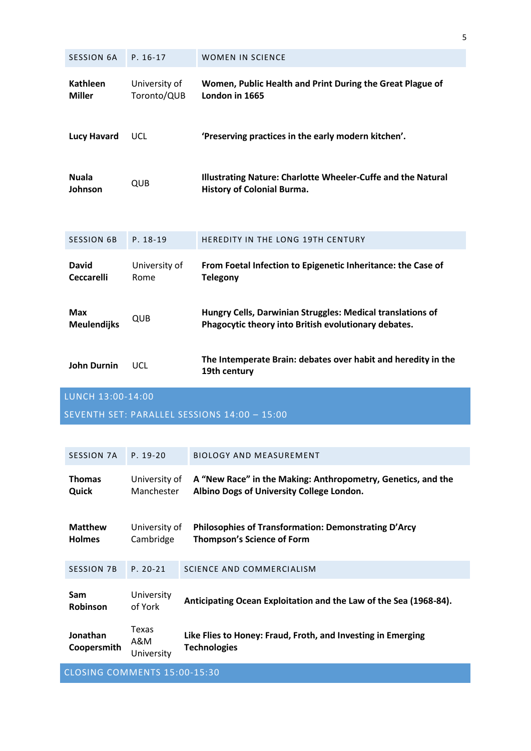| <b>SESSION 6A</b>                 | $P. 16-17$                   | <b>WOMEN IN SCIENCE</b>                                                                                            |
|-----------------------------------|------------------------------|--------------------------------------------------------------------------------------------------------------------|
| <b>Kathleen</b><br><b>Miller</b>  | University of<br>Toronto/QUB | Women, Public Health and Print During the Great Plague of<br>London in 1665                                        |
| <b>Lucy Havard</b>                | <b>UCL</b>                   | 'Preserving practices in the early modern kitchen'.                                                                |
| <b>Nuala</b><br>Johnson           | QUB                          | Illustrating Nature: Charlotte Wheeler-Cuffe and the Natural<br><b>History of Colonial Burma.</b>                  |
| <b>SESSION 6B</b>                 | P. 18-19                     | HEREDITY IN THE LONG 19TH CENTURY                                                                                  |
| <b>David</b><br><b>Ceccarelli</b> | University of<br>Rome        | From Foetal Infection to Epigenetic Inheritance: the Case of<br><b>Telegony</b>                                    |
| <b>Max</b><br><b>Meulendijks</b>  | QUB                          | Hungry Cells, Darwinian Struggles: Medical translations of<br>Phagocytic theory into British evolutionary debates. |
| <b>John Durnin</b>                | <b>UCL</b>                   | The Intemperate Brain: debates over habit and heredity in the<br>19th century                                      |
| LUNCH 13:00-14:00                 |                              |                                                                                                                    |

5

SEVENTH SET: PARALLEL SESSIONS 14:00 – 15:00

| SESSION 7A                      | $P. 19-20$                  | <b>BIOLOGY AND MEASUREMENT</b>                                                                            |  |
|---------------------------------|-----------------------------|-----------------------------------------------------------------------------------------------------------|--|
| <b>Thomas</b><br>Quick          | University of<br>Manchester | A "New Race" in the Making: Anthropometry, Genetics, and the<br>Albino Dogs of University College London. |  |
| <b>Matthew</b><br><b>Holmes</b> | University of<br>Cambridge  | <b>Philosophies of Transformation: Demonstrating D'Arcy</b><br><b>Thompson's Science of Form</b>          |  |
| <b>SESSION 7B</b>               | $P. 20 - 21$                | SCIENCE AND COMMERCIALISM                                                                                 |  |
| <b>Sam</b><br><b>Robinson</b>   | University<br>of York       | Anticipating Ocean Exploitation and the Law of the Sea (1968-84).                                         |  |
| Jonathan<br>Coopersmith         | Texas<br>A&M<br>University  | Like Flies to Honey: Fraud, Froth, and Investing in Emerging<br><b>Technologies</b>                       |  |
| CLOSING COMMENTS 15:00-15:30    |                             |                                                                                                           |  |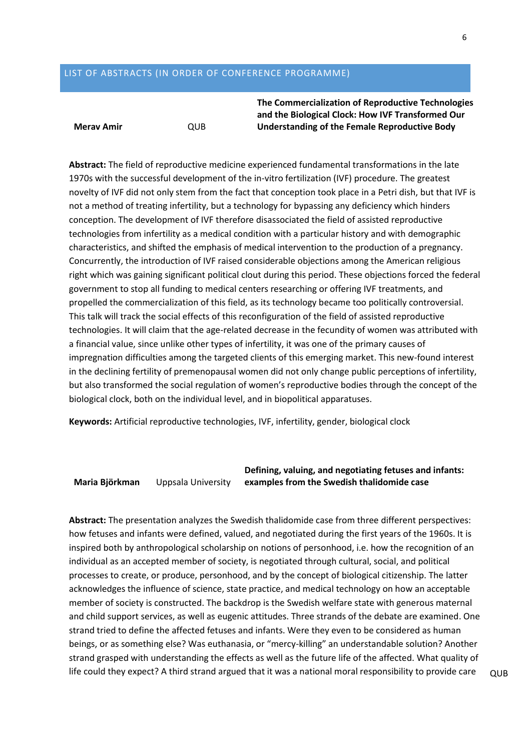## LIST OF ABSTRACTS (IN ORDER OF CONFERENCE PROGRAMME)

### **Merav Amir** QUB

**The Commercialization of Reproductive Technologies and the Biological Clock: How IVF Transformed Our Understanding of the Female Reproductive Body**

**Abstract:** The field of reproductive medicine experienced fundamental transformations in the late 1970s with the successful development of the in-vitro fertilization (IVF) procedure. The greatest novelty of IVF did not only stem from the fact that conception took place in a Petri dish, but that IVF is not a method of treating infertility, but a technology for bypassing any deficiency which hinders conception. The development of IVF therefore disassociated the field of assisted reproductive technologies from infertility as a medical condition with a particular history and with demographic characteristics, and shifted the emphasis of medical intervention to the production of a pregnancy. Concurrently, the introduction of IVF raised considerable objections among the American religious right which was gaining significant political clout during this period. These objections forced the federal government to stop all funding to medical centers researching or offering IVF treatments, and propelled the commercialization of this field, as its technology became too politically controversial. This talk will track the social effects of this reconfiguration of the field of assisted reproductive technologies. It will claim that the age-related decrease in the fecundity of women was attributed with a financial value, since unlike other types of infertility, it was one of the primary causes of impregnation difficulties among the targeted clients of this emerging market. This new-found interest in the declining fertility of premenopausal women did not only change public perceptions of infertility, but also transformed the social regulation of women's reproductive bodies through the concept of the biological clock, both on the individual level, and in biopolitical apparatuses.

**Keywords:** Artificial reproductive technologies, IVF, infertility, gender, biological clock

**Maria Björkman** Uppsala University

**Defining, valuing, and negotiating fetuses and infants: examples from the Swedish thalidomide case**

**Abstract:** The presentation analyzes the Swedish thalidomide case from three different perspectives: how fetuses and infants were defined, valued, and negotiated during the first years of the 1960s. It is inspired both by anthropological scholarship on notions of personhood, i.e. how the recognition of an individual as an accepted member of society, is negotiated through cultural, social, and political processes to create, or produce, personhood, and by the concept of biological citizenship. The latter acknowledges the influence of science, state practice, and medical technology on how an acceptable member of society is constructed. The backdrop is the Swedish welfare state with generous maternal and child support services, as well as eugenic attitudes. Three strands of the debate are examined. One strand tried to define the affected fetuses and infants. Were they even to be considered as human beings, or as something else? Was euthanasia, or "mercy-killing" an understandable solution? Another strand grasped with understanding the effects as well as the future life of the affected. What quality of life could they expect? A third strand argued that it was a national moral responsibility to provide care  $\Box$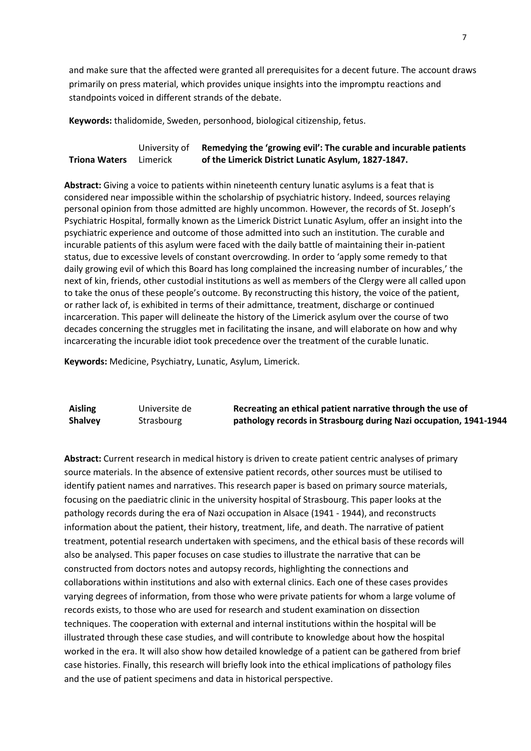and make sure that the affected were granted all prerequisites for a decent future. The account draws primarily on press material, which provides unique insights into the impromptu reactions and standpoints voiced in different strands of the debate.

**Keywords:** thalidomide, Sweden, personhood, biological citizenship, fetus.

#### **Triona Waters** University of Limerick **Remedying the 'growing evil': The curable and incurable patients of the Limerick District Lunatic Asylum, 1827-1847.**

**Abstract:** Giving a voice to patients within nineteenth century lunatic asylums is a feat that is considered near impossible within the scholarship of psychiatric history. Indeed, sources relaying personal opinion from those admitted are highly uncommon. However, the records of St. Joseph's Psychiatric Hospital, formally known as the Limerick District Lunatic Asylum, offer an insight into the psychiatric experience and outcome of those admitted into such an institution. The curable and incurable patients of this asylum were faced with the daily battle of maintaining their in-patient status, due to excessive levels of constant overcrowding. In order to 'apply some remedy to that daily growing evil of which this Board has long complained the increasing number of incurables,' the next of kin, friends, other custodial institutions as well as members of the Clergy were all called upon to take the onus of these people's outcome. By reconstructing this history, the voice of the patient, or rather lack of, is exhibited in terms of their admittance, treatment, discharge or continued incarceration. This paper will delineate the history of the Limerick asylum over the course of two decades concerning the struggles met in facilitating the insane, and will elaborate on how and why incarcerating the incurable idiot took precedence over the treatment of the curable lunatic.

**Keywords:** Medicine, Psychiatry, Lunatic, Asylum, Limerick.

| Aisling        | Universite de | Recreating an ethical patient narrative through the use of        |
|----------------|---------------|-------------------------------------------------------------------|
| <b>Shalvey</b> | Strasbourg    | pathology records in Strasbourg during Nazi occupation, 1941-1944 |

**Abstract:** Current research in medical history is driven to create patient centric analyses of primary source materials. In the absence of extensive patient records, other sources must be utilised to identify patient names and narratives. This research paper is based on primary source materials, focusing on the paediatric clinic in the university hospital of Strasbourg. This paper looks at the pathology records during the era of Nazi occupation in Alsace (1941 - 1944), and reconstructs information about the patient, their history, treatment, life, and death. The narrative of patient treatment, potential research undertaken with specimens, and the ethical basis of these records will also be analysed. This paper focuses on case studies to illustrate the narrative that can be constructed from doctors notes and autopsy records, highlighting the connections and collaborations within institutions and also with external clinics. Each one of these cases provides varying degrees of information, from those who were private patients for whom a large volume of records exists, to those who are used for research and student examination on dissection techniques. The cooperation with external and internal institutions within the hospital will be illustrated through these case studies, and will contribute to knowledge about how the hospital worked in the era. It will also show how detailed knowledge of a patient can be gathered from brief case histories. Finally, this research will briefly look into the ethical implications of pathology files and the use of patient specimens and data in historical perspective.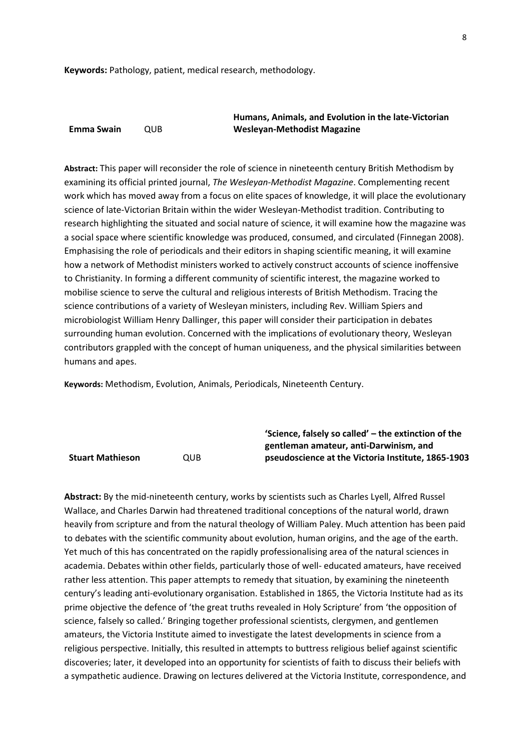**Keywords:** Pathology, patient, medical research, methodology.

|            |      | Humans, Animals, and Evolution in the late-Victorian |
|------------|------|------------------------------------------------------|
| Emma Swain | OUB. | <b>Wesleyan-Methodist Magazine</b>                   |

**Abstract:** This paper will reconsider the role of science in nineteenth century British Methodism by examining its official printed journal, *The Wesleyan-Methodist Magazine*. Complementing recent work which has moved away from a focus on elite spaces of knowledge, it will place the evolutionary science of late-Victorian Britain within the wider Wesleyan-Methodist tradition. Contributing to research highlighting the situated and social nature of science, it will examine how the magazine was a social space where scientific knowledge was produced, consumed, and circulated (Finnegan 2008). Emphasising the role of periodicals and their editors in shaping scientific meaning, it will examine how a network of Methodist ministers worked to actively construct accounts of science inoffensive to Christianity. In forming a different community of scientific interest, the magazine worked to mobilise science to serve the cultural and religious interests of British Methodism. Tracing the science contributions of a variety of Wesleyan ministers, including Rev. William Spiers and microbiologist William Henry Dallinger, this paper will consider their participation in debates surrounding human evolution. Concerned with the implications of evolutionary theory, Wesleyan contributors grappled with the concept of human uniqueness, and the physical similarities between humans and apes.

**Keywords:** Methodism, Evolution, Animals, Periodicals, Nineteenth Century.

|                         |            | 'Science, falsely so called' - the extinction of the |
|-------------------------|------------|------------------------------------------------------|
|                         |            | gentleman amateur, anti-Darwinism, and               |
| <b>Stuart Mathieson</b> | <b>OUB</b> | pseudoscience at the Victoria Institute, 1865-1903   |

**Abstract:** By the mid-nineteenth century, works by scientists such as Charles Lyell, Alfred Russel Wallace, and Charles Darwin had threatened traditional conceptions of the natural world, drawn heavily from scripture and from the natural theology of William Paley. Much attention has been paid to debates with the scientific community about evolution, human origins, and the age of the earth. Yet much of this has concentrated on the rapidly professionalising area of the natural sciences in academia. Debates within other fields, particularly those of well- educated amateurs, have received rather less attention. This paper attempts to remedy that situation, by examining the nineteenth century's leading anti-evolutionary organisation. Established in 1865, the Victoria Institute had as its prime objective the defence of 'the great truths revealed in Holy Scripture' from 'the opposition of science, falsely so called.' Bringing together professional scientists, clergymen, and gentlemen amateurs, the Victoria Institute aimed to investigate the latest developments in science from a religious perspective. Initially, this resulted in attempts to buttress religious belief against scientific discoveries; later, it developed into an opportunity for scientists of faith to discuss their beliefs with a sympathetic audience. Drawing on lectures delivered at the Victoria Institute, correspondence, and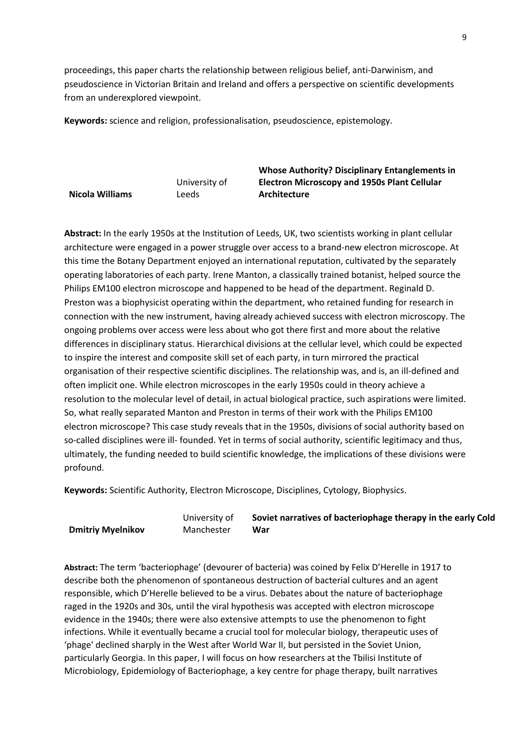proceedings, this paper charts the relationship between religious belief, anti-Darwinism, and pseudoscience in Victorian Britain and Ireland and offers a perspective on scientific developments from an underexplored viewpoint.

**Keywords:** science and religion, professionalisation, pseudoscience, epistemology.

**Nicola Williams** University of Leeds

**Whose Authority? Disciplinary Entanglements in Electron Microscopy and 1950s Plant Cellular Architecture**

**Abstract:** In the early 1950s at the Institution of Leeds, UK, two scientists working in plant cellular architecture were engaged in a power struggle over access to a brand-new electron microscope. At this time the Botany Department enjoyed an international reputation, cultivated by the separately operating laboratories of each party. Irene Manton, a classically trained botanist, helped source the Philips EM100 electron microscope and happened to be head of the department. Reginald D. Preston was a biophysicist operating within the department, who retained funding for research in connection with the new instrument, having already achieved success with electron microscopy. The ongoing problems over access were less about who got there first and more about the relative differences in disciplinary status. Hierarchical divisions at the cellular level, which could be expected to inspire the interest and composite skill set of each party, in turn mirrored the practical organisation of their respective scientific disciplines. The relationship was, and is, an ill-defined and often implicit one. While electron microscopes in the early 1950s could in theory achieve a resolution to the molecular level of detail, in actual biological practice, such aspirations were limited. So, what really separated Manton and Preston in terms of their work with the Philips EM100 electron microscope? This case study reveals that in the 1950s, divisions of social authority based on so-called disciplines were ill- founded. Yet in terms of social authority, scientific legitimacy and thus, ultimately, the funding needed to build scientific knowledge, the implications of these divisions were profound.

**Keywords:** Scientific Authority, Electron Microscope, Disciplines, Cytology, Biophysics.

|                          | University of | Soviet narratives of bacteriophage therapy in the early Cold |
|--------------------------|---------------|--------------------------------------------------------------|
| <b>Dmitriy Myelnikov</b> | Manchester    | War                                                          |

**Abstract:** The term 'bacteriophage' (devourer of bacteria) was coined by Felix D'Herelle in 1917 to describe both the phenomenon of spontaneous destruction of bacterial cultures and an agent responsible, which D'Herelle believed to be a virus. Debates about the nature of bacteriophage raged in the 1920s and 30s, until the viral hypothesis was accepted with electron microscope evidence in the 1940s; there were also extensive attempts to use the phenomenon to fight infections. While it eventually became a crucial tool for molecular biology, therapeutic uses of 'phage' declined sharply in the West after World War II, but persisted in the Soviet Union, particularly Georgia. In this paper, I will focus on how researchers at the Tbilisi Institute of Microbiology, Epidemiology of Bacteriophage, a key centre for phage therapy, built narratives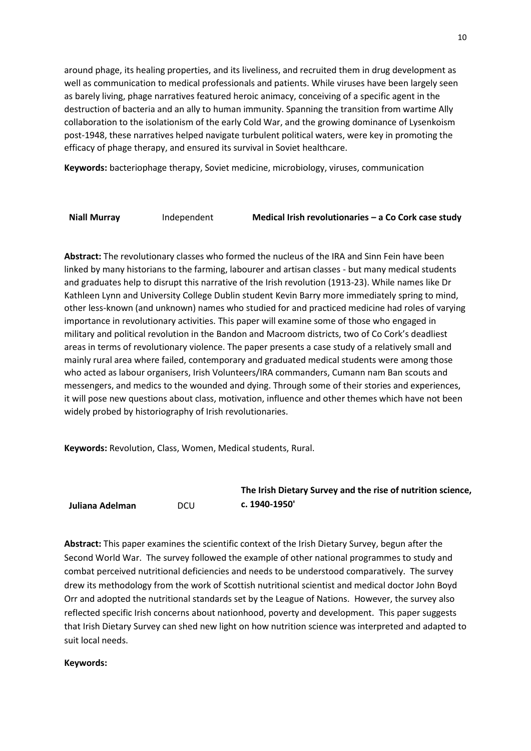around phage, its healing properties, and its liveliness, and recruited them in drug development as well as communication to medical professionals and patients. While viruses have been largely seen as barely living, phage narratives featured heroic animacy, conceiving of a specific agent in the destruction of bacteria and an ally to human immunity. Spanning the transition from wartime Ally collaboration to the isolationism of the early Cold War, and the growing dominance of Lysenkoism post-1948, these narratives helped navigate turbulent political waters, were key in promoting the efficacy of phage therapy, and ensured its survival in Soviet healthcare.

**Keywords:** bacteriophage therapy, Soviet medicine, microbiology, viruses, communication

**Niall Murray** Independent **Medical Irish revolutionaries – a Co Cork case study**

**Abstract:** The revolutionary classes who formed the nucleus of the IRA and Sinn Fein have been linked by many historians to the farming, labourer and artisan classes - but many medical students and graduates help to disrupt this narrative of the Irish revolution (1913-23). While names like Dr Kathleen Lynn and University College Dublin student Kevin Barry more immediately spring to mind, other less-known (and unknown) names who studied for and practiced medicine had roles of varying importance in revolutionary activities. This paper will examine some of those who engaged in military and political revolution in the Bandon and Macroom districts, two of Co Cork's deadliest areas in terms of revolutionary violence. The paper presents a case study of a relatively small and mainly rural area where failed, contemporary and graduated medical students were among those who acted as labour organisers, Irish Volunteers/IRA commanders, Cumann nam Ban scouts and messengers, and medics to the wounded and dying. Through some of their stories and experiences, it will pose new questions about class, motivation, influence and other themes which have not been widely probed by historiography of Irish revolutionaries.

**Keywords:** Revolution, Class, Women, Medical students, Rural.

|                 |            | The Irish Dietary Survey and the rise of nutrition science, |
|-----------------|------------|-------------------------------------------------------------|
| Juliana Adelman | <b>DCU</b> | c. 1940-1950'                                               |

**Abstract:** This paper examines the scientific context of the Irish Dietary Survey, begun after the Second World War. The survey followed the example of other national programmes to study and combat perceived nutritional deficiencies and needs to be understood comparatively. The survey drew its methodology from the work of Scottish nutritional scientist and medical doctor John Boyd Orr and adopted the nutritional standards set by the League of Nations. However, the survey also reflected specific Irish concerns about nationhood, poverty and development. This paper suggests that Irish Dietary Survey can shed new light on how nutrition science was interpreted and adapted to suit local needs.

## **Keywords:**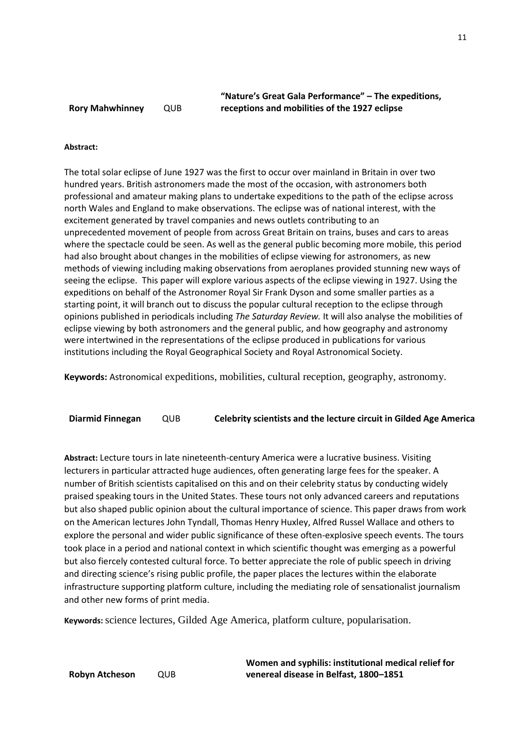**"Nature's Great Gala Performance" – The expeditions, receptions and mobilities of the 1927 eclipse**

### **Abstract:**

The total solar eclipse of June 1927 was the first to occur over mainland in Britain in over two hundred years. British astronomers made the most of the occasion, with astronomers both professional and amateur making plans to undertake expeditions to the path of the eclipse across north Wales and England to make observations. The eclipse was of national interest, with the excitement generated by travel companies and news outlets contributing to an unprecedented movement of people from across Great Britain on trains, buses and cars to areas where the spectacle could be seen. As well as the general public becoming more mobile, this period had also brought about changes in the mobilities of eclipse viewing for astronomers, as new methods of viewing including making observations from aeroplanes provided stunning new ways of seeing the eclipse. This paper will explore various aspects of the eclipse viewing in 1927. Using the expeditions on behalf of the Astronomer Royal Sir Frank Dyson and some smaller parties as a starting point, it will branch out to discuss the popular cultural reception to the eclipse through opinions published in periodicals including *The Saturday Review.* It will also analyse the mobilities of eclipse viewing by both astronomers and the general public, and how geography and astronomy were intertwined in the representations of the eclipse produced in publications for various institutions including the Royal Geographical Society and Royal Astronomical Society.

**Keywords:** Astronomical expeditions, mobilities, cultural reception, geography, astronomy.

**Diarmid Finnegan** QUB **Celebrity scientists and the lecture circuit in Gilded Age America**

**Abstract:** Lecture tours in late nineteenth-century America were a lucrative business. Visiting lecturers in particular attracted huge audiences, often generating large fees for the speaker. A number of British scientists capitalised on this and on their celebrity status by conducting widely praised speaking tours in the United States. These tours not only advanced careers and reputations but also shaped public opinion about the cultural importance of science. This paper draws from work on the American lectures John Tyndall, Thomas Henry Huxley, Alfred Russel Wallace and others to explore the personal and wider public significance of these often-explosive speech events. The tours took place in a period and national context in which scientific thought was emerging as a powerful but also fiercely contested cultural force. To better appreciate the role of public speech in driving and directing science's rising public profile, the paper places the lectures within the elaborate infrastructure supporting platform culture, including the mediating role of sensationalist journalism and other new forms of print media.

**Keywords:**science lectures, Gilded Age America, platform culture, popularisation.

**Women and syphilis: institutional medical relief for venereal disease in Belfast, 1800–1851**

11

**Robyn Atcheson** QUB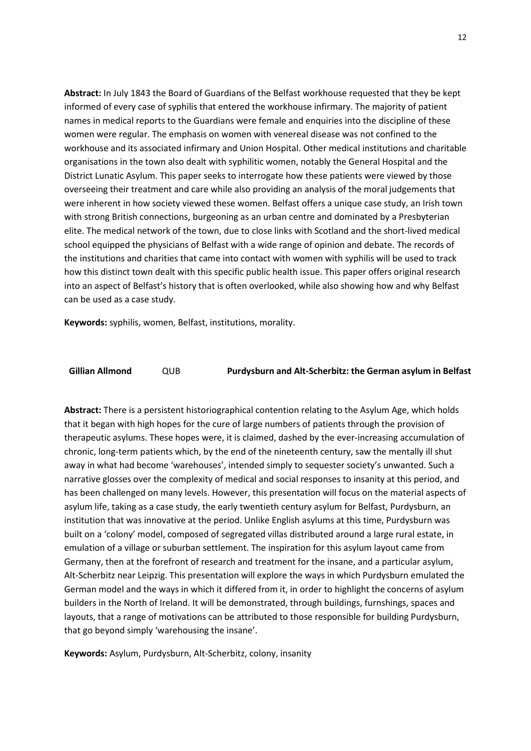**Abstract:** In July 1843 the Board of Guardians of the Belfast workhouse requested that they be kept informed of every case of syphilis that entered the workhouse infirmary. The majority of patient names in medical reports to the Guardians were female and enquiries into the discipline of these women were regular. The emphasis on women with venereal disease was not confined to the workhouse and its associated infirmary and Union Hospital. Other medical institutions and charitable organisations in the town also dealt with syphilitic women, notably the General Hospital and the District Lunatic Asylum. This paper seeks to interrogate how these patients were viewed by those overseeing their treatment and care while also providing an analysis of the moral judgements that were inherent in how society viewed these women. Belfast offers a unique case study, an Irish town with strong British connections, burgeoning as an urban centre and dominated by a Presbyterian elite. The medical network of the town, due to close links with Scotland and the short-lived medical school equipped the physicians of Belfast with a wide range of opinion and debate. The records of the institutions and charities that came into contact with women with syphilis will be used to track how this distinct town dealt with this specific public health issue. This paper offers original research into an aspect of Belfast's history that is often overlooked, while also showing how and why Belfast can be used as a case study.

**Keywords:** syphilis, women, Belfast, institutions, morality.

## **Gillian Allmond** QUB **Purdysburn and Alt-Scherbitz: the German asylum in Belfast**

**Abstract:** There is a persistent historiographical contention relating to the Asylum Age, which holds that it began with high hopes for the cure of large numbers of patients through the provision of therapeutic asylums. These hopes were, it is claimed, dashed by the ever-increasing accumulation of chronic, long-term patients which, by the end of the nineteenth century, saw the mentally ill shut away in what had become 'warehouses', intended simply to sequester society's unwanted. Such a narrative glosses over the complexity of medical and social responses to insanity at this period, and has been challenged on many levels. However, this presentation will focus on the material aspects of asylum life, taking as a case study, the early twentieth century asylum for Belfast, Purdysburn, an institution that was innovative at the period. Unlike English asylums at this time, Purdysburn was built on a 'colony' model, composed of segregated villas distributed around a large rural estate, in emulation of a village or suburban settlement. The inspiration for this asylum layout came from Germany, then at the forefront of research and treatment for the insane, and a particular asylum, Alt-Scherbitz near Leipzig. This presentation will explore the ways in which Purdysburn emulated the German model and the ways in which it differed from it, in order to highlight the concerns of asylum builders in the North of Ireland. It will be demonstrated, through buildings, furnshings, spaces and layouts, that a range of motivations can be attributed to those responsible for building Purdysburn, that go beyond simply 'warehousing the insane'.

**Keywords:** Asylum, Purdysburn, Alt-Scherbitz, colony, insanity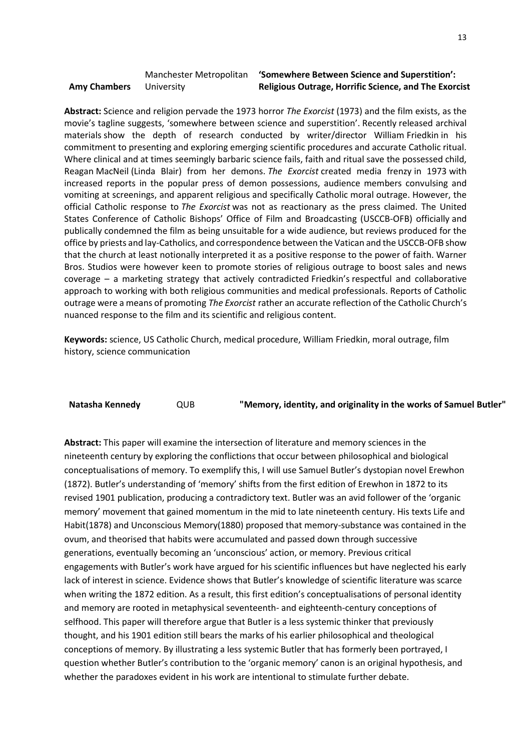|                     | Manchester Metropolitan | 'Somewhere Between Science and Superstition':                |
|---------------------|-------------------------|--------------------------------------------------------------|
| <b>Amy Chambers</b> | University              | <b>Religious Outrage, Horrific Science, and The Exorcist</b> |

**Abstract:** Science and religion pervade the 1973 horror *The Exorcist* (1973) and the film exists, as the movie's tagline suggests, 'somewhere between science and superstition'. Recently released archival materials show the depth of research conducted by writer/director William Friedkin in his commitment to presenting and exploring emerging scientific procedures and accurate Catholic ritual. Where clinical and at times seemingly barbaric science fails, faith and ritual save the possessed child, Reagan MacNeil (Linda Blair) from her demons. *The Exorcist* created media frenzy in 1973 with increased reports in the popular press of demon possessions, audience members convulsing and vomiting at screenings, and apparent religious and specifically Catholic moral outrage. However, the official Catholic response to *The Exorcist* was not as reactionary as the press claimed. The United States Conference of Catholic Bishops' Office of Film and Broadcasting (USCCB-OFB) officially and publically condemned the film as being unsuitable for a wide audience, but reviews produced for the office by priests and lay-Catholics, and correspondence between the Vatican and the USCCB-OFB show that the church at least notionally interpreted it as a positive response to the power of faith. Warner Bros. Studios were however keen to promote stories of religious outrage to boost sales and news coverage – a marketing strategy that actively contradicted Friedkin's respectful and collaborative approach to working with both religious communities and medical professionals. Reports of Catholic outrage were a means of promoting *The Exorcist* rather an accurate reflection of the Catholic Church's nuanced response to the film and its scientific and religious content.

**Keywords:** science, US Catholic Church, medical procedure, William Friedkin, moral outrage, film history, science communication

| Natasha Kennedy | QUB | "Memory, identity, and originality in the works of Samuel Butler" |
|-----------------|-----|-------------------------------------------------------------------|
|-----------------|-----|-------------------------------------------------------------------|

**Abstract:** This paper will examine the intersection of literature and memory sciences in the nineteenth century by exploring the conflictions that occur between philosophical and biological conceptualisations of memory. To exemplify this, I will use Samuel Butler's dystopian novel Erewhon (1872). Butler's understanding of 'memory' shifts from the first edition of Erewhon in 1872 to its revised 1901 publication, producing a contradictory text. Butler was an avid follower of the 'organic memory' movement that gained momentum in the mid to late nineteenth century. His texts Life and Habit(1878) and Unconscious Memory(1880) proposed that memory-substance was contained in the ovum, and theorised that habits were accumulated and passed down through successive generations, eventually becoming an 'unconscious' action, or memory. Previous critical engagements with Butler's work have argued for his scientific influences but have neglected his early lack of interest in science. Evidence shows that Butler's knowledge of scientific literature was scarce when writing the 1872 edition. As a result, this first edition's conceptualisations of personal identity and memory are rooted in metaphysical seventeenth- and eighteenth-century conceptions of selfhood. This paper will therefore argue that Butler is a less systemic thinker that previously thought, and his 1901 edition still bears the marks of his earlier philosophical and theological conceptions of memory. By illustrating a less systemic Butler that has formerly been portrayed, I question whether Butler's contribution to the 'organic memory' canon is an original hypothesis, and whether the paradoxes evident in his work are intentional to stimulate further debate.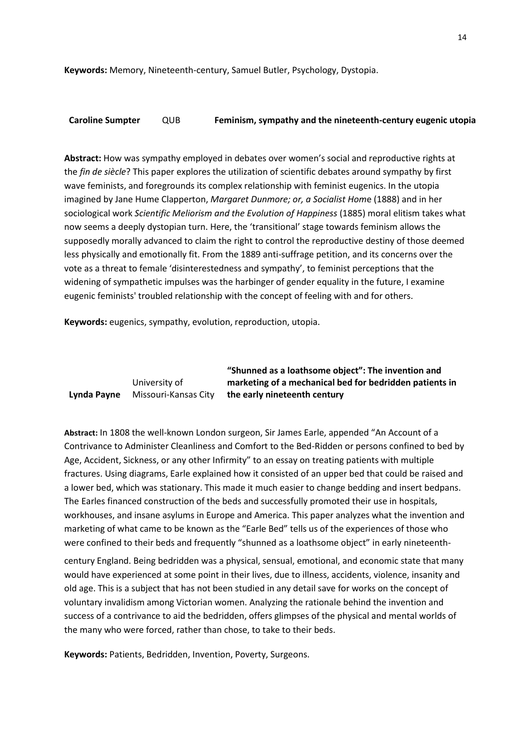**Keywords:** Memory, Nineteenth-century, Samuel Butler, Psychology, Dystopia.

## **Caroline Sumpter** QUB **Feminism, sympathy and the nineteenth-century eugenic utopia**

**Abstract:** How was sympathy employed in debates over women's social and reproductive rights at the *fin de siècle*? This paper explores the utilization of scientific debates around sympathy by first wave feminists, and foregrounds its complex relationship with feminist eugenics. In the utopia imagined by Jane Hume Clapperton, *Margaret Dunmore; or, a Socialist Hom*e (1888) and in her sociological work *Scientific Meliorism and the Evolution of Happiness* (1885) moral elitism takes what now seems a deeply dystopian turn. Here, the 'transitional' stage towards feminism allows the supposedly morally advanced to claim the right to control the reproductive destiny of those deemed less physically and emotionally fit. From the 1889 anti-suffrage petition, and its concerns over the vote as a threat to female 'disinterestedness and sympathy', to feminist perceptions that the widening of sympathetic impulses was the harbinger of gender equality in the future, I examine eugenic feminists' troubled relationship with the concept of feeling with and for others.

**Keywords:** eugenics, sympathy, evolution, reproduction, utopia.

#### **Lynda Payne** University of Missouri-Kansas City **"Shunned as a loathsome object": The invention and marketing of a mechanical bed for bedridden patients in the early nineteenth century**

**Abstract:** In 1808 the well-known London surgeon, Sir James Earle, appended "An Account of a Contrivance to Administer Cleanliness and Comfort to the Bed-Ridden or persons confined to bed by Age, Accident, Sickness, or any other Infirmity" to an essay on treating patients with multiple fractures. Using diagrams, Earle explained how it consisted of an upper bed that could be raised and a lower bed, which was stationary. This made it much easier to change bedding and insert bedpans. The Earles financed construction of the beds and successfully promoted their use in hospitals, workhouses, and insane asylums in Europe and America. This paper analyzes what the invention and marketing of what came to be known as the "Earle Bed" tells us of the experiences of those who were confined to their beds and frequently "shunned as a loathsome object" in early nineteenth-

century England. Being bedridden was a physical, sensual, emotional, and economic state that many would have experienced at some point in their lives, due to illness, accidents, violence, insanity and old age. This is a subject that has not been studied in any detail save for works on the concept of voluntary invalidism among Victorian women. Analyzing the rationale behind the invention and success of a contrivance to aid the bedridden, offers glimpses of the physical and mental worlds of the many who were forced, rather than chose, to take to their beds.

**Keywords:** Patients, Bedridden, Invention, Poverty, Surgeons.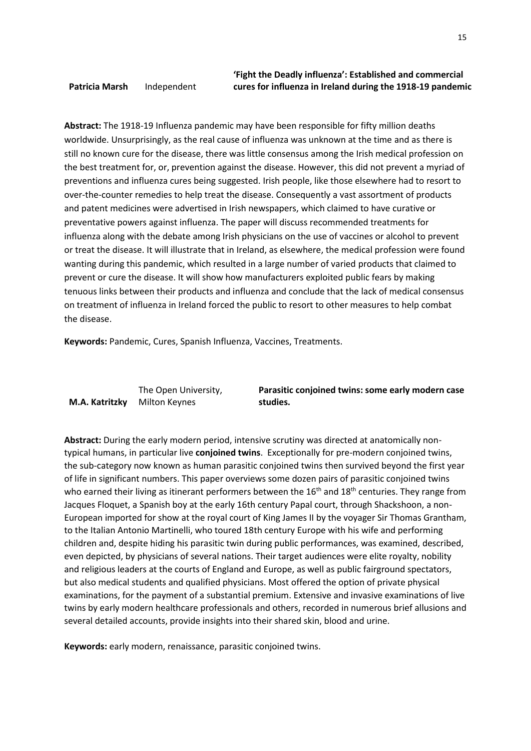**Abstract:** The 1918-19 Influenza pandemic may have been responsible for fifty million deaths worldwide. Unsurprisingly, as the real cause of influenza was unknown at the time and as there is still no known cure for the disease, there was little consensus among the Irish medical profession on the best treatment for, or, prevention against the disease. However, this did not prevent a myriad of preventions and influenza cures being suggested. Irish people, like those elsewhere had to resort to over-the-counter remedies to help treat the disease. Consequently a vast assortment of products and patent medicines were advertised in Irish newspapers, which claimed to have curative or preventative powers against influenza. The paper will discuss recommended treatments for influenza along with the debate among Irish physicians on the use of vaccines or alcohol to prevent or treat the disease. It will illustrate that in Ireland, as elsewhere, the medical profession were found wanting during this pandemic, which resulted in a large number of varied products that claimed to prevent or cure the disease. It will show how manufacturers exploited public fears by making tenuous links between their products and influenza and conclude that the lack of medical consensus on treatment of influenza in Ireland forced the public to resort to other measures to help combat the disease.

**Keywords:** Pandemic, Cures, Spanish Influenza, Vaccines, Treatments.

**M.A. Katritzky**

**Patricia Marsh** Independent

The Open University, Milton Keynes

**Parasitic conjoined twins: some early modern case studies.**

**Abstract:** During the early modern period, intensive scrutiny was directed at anatomically nontypical humans, in particular live **conjoined twins**. Exceptionally for pre-modern conjoined twins, the sub-category now known as human parasitic conjoined twins then survived beyond the first year of life in significant numbers. This paper overviews some dozen pairs of parasitic conjoined twins who earned their living as itinerant performers between the  $16<sup>th</sup>$  and  $18<sup>th</sup>$  centuries. They range from Jacques Floquet, a Spanish boy at the early 16th century Papal court, through Shackshoon, a non-European imported for show at the royal court of King James II by the voyager Sir Thomas Grantham, to the Italian Antonio Martinelli, who toured 18th century Europe with his wife and performing children and, despite hiding his parasitic twin during public performances, was examined, described, even depicted, by physicians of several nations. Their target audiences were elite royalty, nobility and religious leaders at the courts of England and Europe, as well as public fairground spectators, but also medical students and qualified physicians. Most offered the option of private physical examinations, for the payment of a substantial premium. Extensive and invasive examinations of live twins by early modern healthcare professionals and others, recorded in numerous brief allusions and several detailed accounts, provide insights into their shared skin, blood and urine.

**Keywords:** early modern, renaissance, parasitic conjoined twins.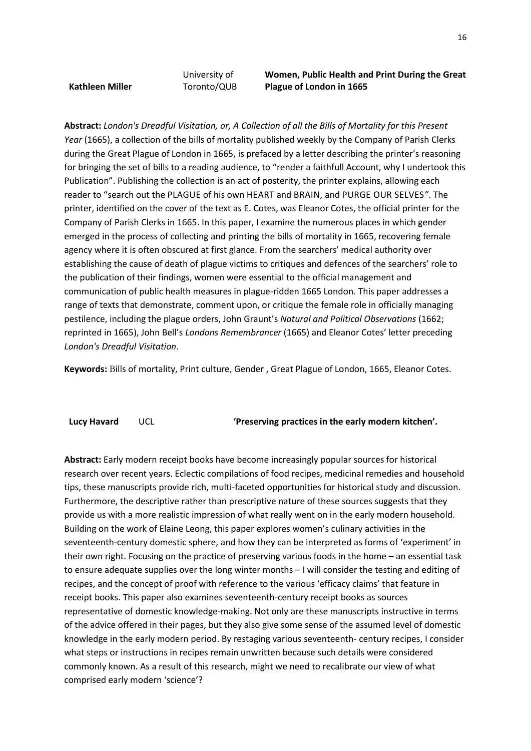**Kathleen Miller**

University of Toronto/QUB **Women, Public Health and Print During the Great Plague of London in 1665** 

**Abstract:** *London's Dreadful Visitation, or, A Collection of all the Bills of Mortality for this Present Year* (1665), a collection of the bills of mortality published weekly by the Company of Parish Clerks during the Great Plague of London in 1665, is prefaced by a letter describing the printer's reasoning for bringing the set of bills to a reading audience, to "render a faithfull Account, why I undertook this Publication". Publishing the collection is an act of posterity, the printer explains, allowing each reader to "search out the PLAGUE of his own HEART and BRAIN, and PURGE OUR SELVES*"*. The printer, identified on the cover of the text as E. Cotes, was Eleanor Cotes, the official printer for the Company of Parish Clerks in 1665. In this paper, I examine the numerous places in which gender emerged in the process of collecting and printing the bills of mortality in 1665, recovering female agency where it is often obscured at first glance. From the searchers' medical authority over establishing the cause of death of plague victims to critiques and defences of the searchers' role to the publication of their findings, women were essential to the official management and communication of public health measures in plague-ridden 1665 London. This paper addresses a range of texts that demonstrate, comment upon, or critique the female role in officially managing pestilence, including the plague orders, John Graunt's *Natural and Political Observations* (1662; reprinted in 1665), John Bell's *Londons Remembrancer* (1665) and Eleanor Cotes' letter preceding *London's Dreadful Visitation*.

**Keywords:** Bills of mortality, Print culture, Gender , Great Plague of London, 1665, Eleanor Cotes.

**Lucy Havard** UCL **'Preserving practices in the early modern kitchen'.**

**Abstract:** Early modern receipt books have become increasingly popular sources for historical research over recent years. Eclectic compilations of food recipes, medicinal remedies and household tips, these manuscripts provide rich, multi-faceted opportunities for historical study and discussion. Furthermore, the descriptive rather than prescriptive nature of these sources suggests that they provide us with a more realistic impression of what really went on in the early modern household. Building on the work of Elaine Leong, this paper explores women's culinary activities in the seventeenth-century domestic sphere, and how they can be interpreted as forms of 'experiment' in their own right. Focusing on the practice of preserving various foods in the home – an essential task to ensure adequate supplies over the long winter months – I will consider the testing and editing of recipes, and the concept of proof with reference to the various 'efficacy claims' that feature in receipt books. This paper also examines seventeenth-century receipt books as sources representative of domestic knowledge-making. Not only are these manuscripts instructive in terms of the advice offered in their pages, but they also give some sense of the assumed level of domestic knowledge in the early modern period. By restaging various seventeenth- century recipes, I consider what steps or instructions in recipes remain unwritten because such details were considered commonly known. As a result of this research, might we need to recalibrate our view of what comprised early modern 'science'?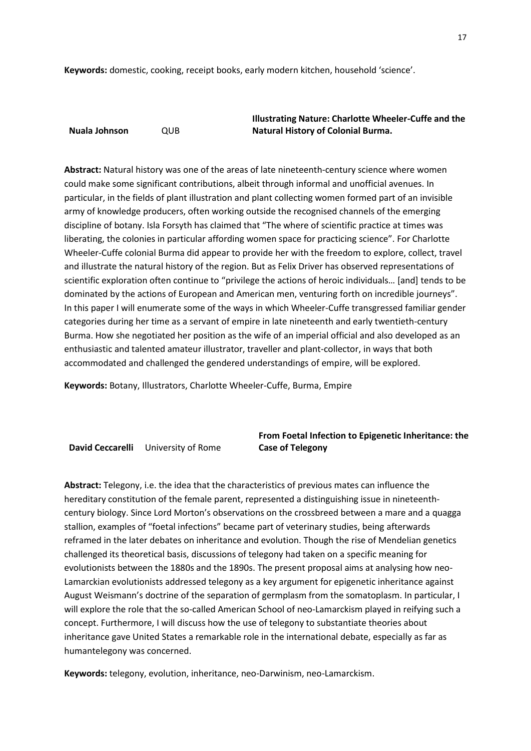**Keywords:** domestic, cooking, receipt books, early modern kitchen, household 'science'.

**Nuala Johnson** QUB

**Illustrating Nature: Charlotte Wheeler-Cuffe and the Natural History of Colonial Burma.**

**Abstract:** Natural history was one of the areas of late nineteenth-century science where women could make some significant contributions, albeit through informal and unofficial avenues. In particular, in the fields of plant illustration and plant collecting women formed part of an invisible army of knowledge producers, often working outside the recognised channels of the emerging discipline of botany. Isla Forsyth has claimed that "The where of scientific practice at times was liberating, the colonies in particular affording women space for practicing science". For Charlotte Wheeler-Cuffe colonial Burma did appear to provide her with the freedom to explore, collect, travel and illustrate the natural history of the region. But as Felix Driver has observed representations of scientific exploration often continue to "privilege the actions of heroic individuals… [and] tends to be dominated by the actions of European and American men, venturing forth on incredible journeys". In this paper I will enumerate some of the ways in which Wheeler-Cuffe transgressed familiar gender categories during her time as a servant of empire in late nineteenth and early twentieth-century Burma. How she negotiated her position as the wife of an imperial official and also developed as an enthusiastic and talented amateur illustrator, traveller and plant-collector, in ways that both accommodated and challenged the gendered understandings of empire, will be explored.

**Keywords:** Botany, Illustrators, Charlotte Wheeler-Cuffe, Burma, Empire

**David Ceccarelli** University of Rome

**From Foetal Infection to Epigenetic Inheritance: the Case of Telegony**

**Abstract:** Telegony, i.e. the idea that the characteristics of previous mates can influence the hereditary constitution of the female parent, represented a distinguishing issue in nineteenthcentury biology. Since Lord Morton's observations on the crossbreed between a mare and a quagga stallion, examples of "foetal infections" became part of veterinary studies, being afterwards reframed in the later debates on inheritance and evolution. Though the rise of Mendelian genetics challenged its theoretical basis, discussions of telegony had taken on a specific meaning for evolutionists between the 1880s and the 1890s. The present proposal aims at analysing how neo-Lamarckian evolutionists addressed telegony as a key argument for epigenetic inheritance against August Weismann's doctrine of the separation of germplasm from the somatoplasm. In particular, I will explore the role that the so-called American School of neo-Lamarckism played in reifying such a concept. Furthermore, I will discuss how the use of telegony to substantiate theories about inheritance gave United States a remarkable role in the international debate, especially as far as humantelegony was concerned.

**Keywords:** telegony, evolution, inheritance, neo-Darwinism, neo-Lamarckism.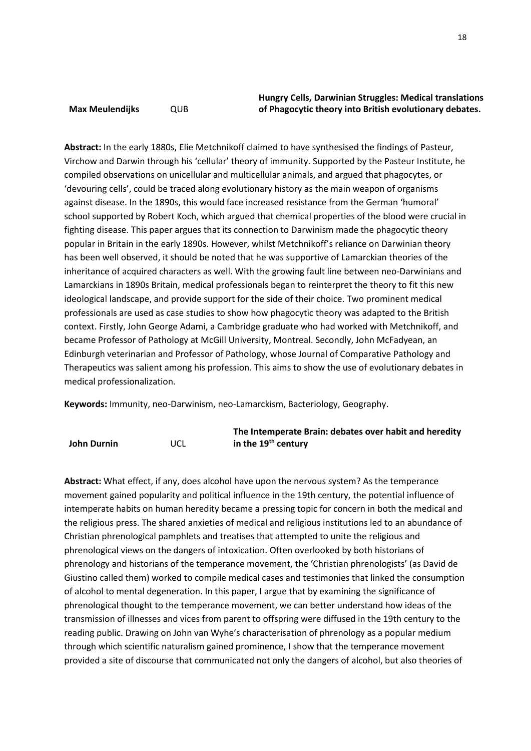## **Max Meulendijks** QUB

## **Hungry Cells, Darwinian Struggles: Medical translations of Phagocytic theory into British evolutionary debates.**

**Abstract:** In the early 1880s, Elie Metchnikoff claimed to have synthesised the findings of Pasteur, Virchow and Darwin through his 'cellular' theory of immunity. Supported by the Pasteur Institute, he compiled observations on unicellular and multicellular animals, and argued that phagocytes, or 'devouring cells', could be traced along evolutionary history as the main weapon of organisms against disease. In the 1890s, this would face increased resistance from the German 'humoral' school supported by Robert Koch, which argued that chemical properties of the blood were crucial in fighting disease. This paper argues that its connection to Darwinism made the phagocytic theory popular in Britain in the early 1890s. However, whilst Metchnikoff's reliance on Darwinian theory has been well observed, it should be noted that he was supportive of Lamarckian theories of the inheritance of acquired characters as well. With the growing fault line between neo-Darwinians and Lamarckians in 1890s Britain, medical professionals began to reinterpret the theory to fit this new ideological landscape, and provide support for the side of their choice. Two prominent medical professionals are used as case studies to show how phagocytic theory was adapted to the British context. Firstly, John George Adami, a Cambridge graduate who had worked with Metchnikoff, and became Professor of Pathology at McGill University, Montreal. Secondly, John McFadyean, an Edinburgh veterinarian and Professor of Pathology, whose Journal of Comparative Pathology and Therapeutics was salient among his profession. This aims to show the use of evolutionary debates in medical professionalization.

**Keywords:** Immunity, neo-Darwinism, neo-Lamarckism, Bacteriology, Geography.

|             |     | The Intemperate Brain: debates over habit and heredity |
|-------------|-----|--------------------------------------------------------|
| John Durnin | UCL | in the 19 <sup>th</sup> century                        |

**Abstract:** What effect, if any, does alcohol have upon the nervous system? As the temperance movement gained popularity and political influence in the 19th century, the potential influence of intemperate habits on human heredity became a pressing topic for concern in both the medical and the religious press. The shared anxieties of medical and religious institutions led to an abundance of Christian phrenological pamphlets and treatises that attempted to unite the religious and phrenological views on the dangers of intoxication. Often overlooked by both historians of phrenology and historians of the temperance movement, the 'Christian phrenologists' (as David de Giustino called them) worked to compile medical cases and testimonies that linked the consumption of alcohol to mental degeneration. In this paper, I argue that by examining the significance of phrenological thought to the temperance movement, we can better understand how ideas of the transmission of illnesses and vices from parent to offspring were diffused in the 19th century to the reading public. Drawing on John van Wyhe's characterisation of phrenology as a popular medium through which scientific naturalism gained prominence, I show that the temperance movement provided a site of discourse that communicated not only the dangers of alcohol, but also theories of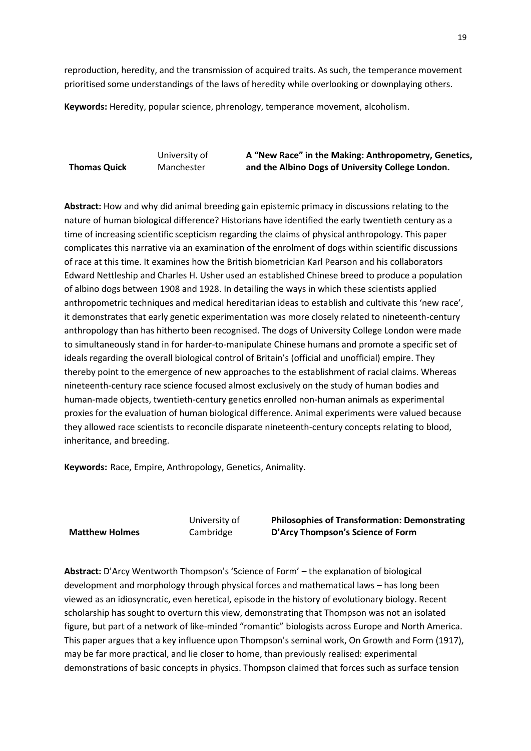reproduction, heredity, and the transmission of acquired traits. As such, the temperance movement prioritised some understandings of the laws of heredity while overlooking or downplaying others.

**Keywords:** Heredity, popular science, phrenology, temperance movement, alcoholism.

**Thomas Quick** University of Manchester **A "New Race" in the Making: Anthropometry, Genetics, and the Albino Dogs of University College London.**

**Abstract:** How and why did animal breeding gain epistemic primacy in discussions relating to the nature of human biological difference? Historians have identified the early twentieth century as a time of increasing scientific scepticism regarding the claims of physical anthropology. This paper complicates this narrative via an examination of the enrolment of dogs within scientific discussions of race at this time. It examines how the British biometrician Karl Pearson and his collaborators Edward Nettleship and Charles H. Usher used an established Chinese breed to produce a population of albino dogs between 1908 and 1928. In detailing the ways in which these scientists applied anthropometric techniques and medical hereditarian ideas to establish and cultivate this 'new race', it demonstrates that early genetic experimentation was more closely related to nineteenth-century anthropology than has hitherto been recognised. The dogs of University College London were made to simultaneously stand in for harder-to-manipulate Chinese humans and promote a specific set of ideals regarding the overall biological control of Britain's (official and unofficial) empire. They thereby point to the emergence of new approaches to the establishment of racial claims. Whereas nineteenth-century race science focused almost exclusively on the study of human bodies and human-made objects, twentieth-century genetics enrolled non-human animals as experimental proxies for the evaluation of human biological difference. Animal experiments were valued because they allowed race scientists to reconcile disparate nineteenth-century concepts relating to blood, inheritance, and breeding.

**Keywords:** Race, Empire, Anthropology, Genetics, Animality.

**Matthew Holmes**

University of Cambridge

**Philosophies of Transformation: Demonstrating D'Arcy Thompson's Science of Form**

**Abstract:** D'Arcy Wentworth Thompson's 'Science of Form' – the explanation of biological development and morphology through physical forces and mathematical laws – has long been viewed as an idiosyncratic, even heretical, episode in the history of evolutionary biology. Recent scholarship has sought to overturn this view, demonstrating that Thompson was not an isolated figure, but part of a network of like-minded "romantic" biologists across Europe and North America. This paper argues that a key influence upon Thompson's seminal work, On Growth and Form (1917), may be far more practical, and lie closer to home, than previously realised: experimental demonstrations of basic concepts in physics. Thompson claimed that forces such as surface tension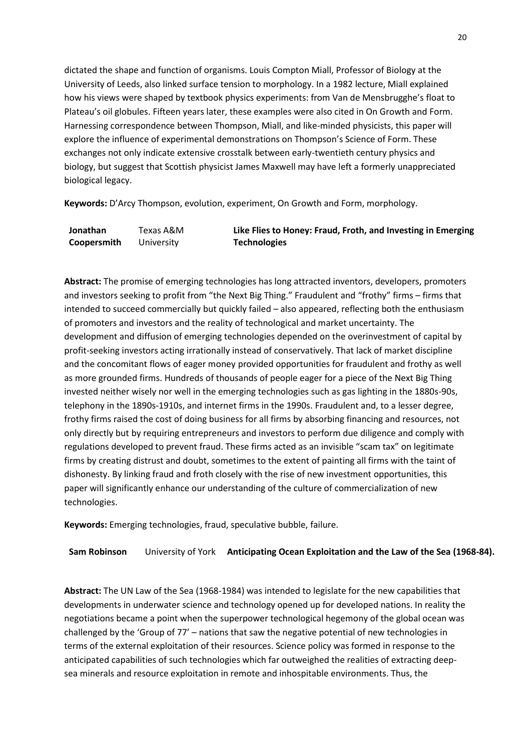dictated the shape and function of organisms. Louis Compton Miall, Professor of Biology at the University of Leeds, also linked surface tension to morphology. In a 1982 lecture, Miall explained how his views were shaped by textbook physics experiments: from Van de Mensbrugghe's float to Plateau's oil globules. Fifteen years later, these examples were also cited in On Growth and Form. Harnessing correspondence between Thompson, Miall, and like-minded physicists, this paper will explore the influence of experimental demonstrations on Thompson's Science of Form. These exchanges not only indicate extensive crosstalk between early-twentieth century physics and biology, but suggest that Scottish physicist James Maxwell may have left a formerly unappreciated biological legacy.

**Keywords:** D'Arcy Thompson, evolution, experiment, On Growth and Form, morphology.

| Jonathan    | Texas A&M  | Like Flies to Honey: Fraud, Froth, and Investing in Emerging |
|-------------|------------|--------------------------------------------------------------|
| Coopersmith | Jniversity | <b>Technologies</b>                                          |

**Abstract:** The promise of emerging technologies has long attracted inventors, developers, promoters and investors seeking to profit from "the Next Big Thing." Fraudulent and "frothy" firms – firms that intended to succeed commercially but quickly failed – also appeared, reflecting both the enthusiasm of promoters and investors and the reality of technological and market uncertainty. The development and diffusion of emerging technologies depended on the overinvestment of capital by profit-seeking investors acting irrationally instead of conservatively. That lack of market discipline and the concomitant flows of eager money provided opportunities for fraudulent and frothy as well as more grounded firms. Hundreds of thousands of people eager for a piece of the Next Big Thing invested neither wisely nor well in the emerging technologies such as gas lighting in the 1880s-90s, telephony in the 1890s-1910s, and internet firms in the 1990s. Fraudulent and, to a lesser degree, frothy firms raised the cost of doing business for all firms by absorbing financing and resources, not only directly but by requiring entrepreneurs and investors to perform due diligence and comply with regulations developed to prevent fraud. These firms acted as an invisible "scam tax" on legitimate firms by creating distrust and doubt, sometimes to the extent of painting all firms with the taint of dishonesty. By linking fraud and froth closely with the rise of new investment opportunities, this paper will significantly enhance our understanding of the culture of commercialization of new technologies.

**Keywords:** Emerging technologies, fraud, speculative bubble, failure.

**Sam Robinson** University of York **Anticipating Ocean Exploitation and the Law of the Sea (1968-84).**

**Abstract:** The UN Law of the Sea (1968-1984) was intended to legislate for the new capabilities that developments in underwater science and technology opened up for developed nations. In reality the negotiations became a point when the superpower technological hegemony of the global ocean was challenged by the 'Group of 77' – nations that saw the negative potential of new technologies in terms of the external exploitation of their resources. Science policy was formed in response to the anticipated capabilities of such technologies which far outweighed the realities of extracting deepsea minerals and resource exploitation in remote and inhospitable environments. Thus, the